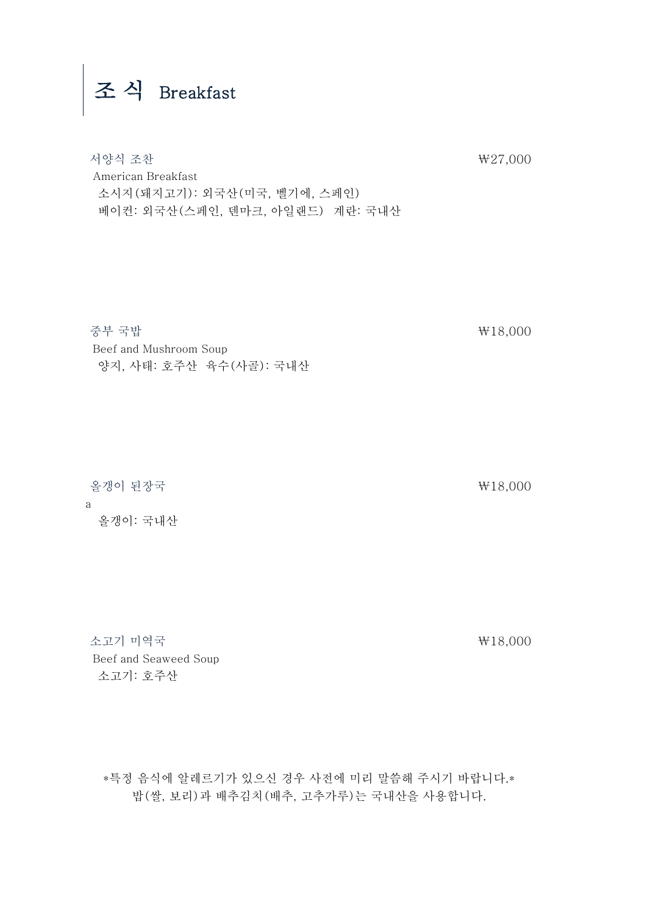## 조 식 Breakfast

 서양식 조찬 ₩27,000 American Breakfast 소시지(돼지고기): 외국산(미국, 벨기에, 스페인) 베이컨: 외국산(스페인, 덴마크, 아일랜드) 계란: 국내산

 중부 국밥 ₩18,000 Beef and Mushroom Soup 양지, 사태: 호주산 육수(사골): 국내산

 올갱이 된장국 ₩18,000 a 올갱이: 국내산

 소고기 미역국 ₩18,000 Beef and Seaweed Soup 소고기: 호주산

\*특정 음식에 알레르기가 있으신 경우 사전에 미리 말씀해 주시기 바랍니다.\* 밥(쌀, 보리)과 배추김치(배추, 고추가루)는 국내산을 사용합니다.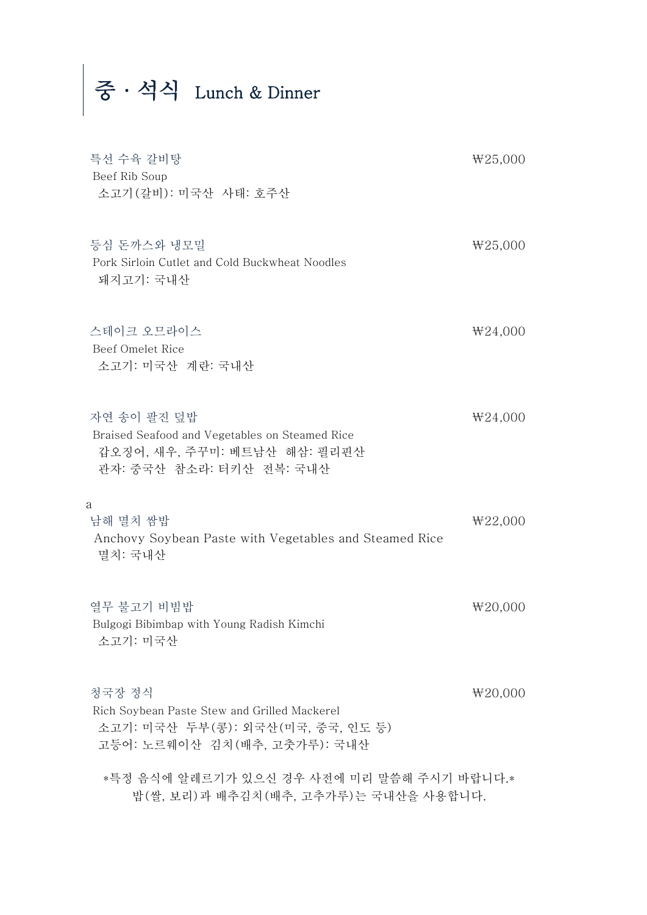중·석식 Lunch & Dinner

| 특선 수육 갈비탕<br>Beef Rib Soup<br>소고기 (갈비): 미국산 사태: 호주산                                                                         | ₩25,000 |
|-----------------------------------------------------------------------------------------------------------------------------|---------|
| 등심 돈까스와 냉모밀<br>Pork Sirloin Cutlet and Cold Buckwheat Noodles<br>돼지고기: 국내산                                                  | W25,000 |
| 스테이크 오므라이스<br>Beef Omelet Rice<br>소고기: 미국산 계란: 국내산                                                                          | ₩24,000 |
| 자연 송이 팔진 덮밥<br>Braised Seafood and Vegetables on Steamed Rice<br>갑오징어, 새우, 주꾸미: 베트남산 해삼: 필리핀산<br>관자: 중국산 참소라: 터키산 전복: 국내산   | ₩24,000 |
| a<br>남해 멸치 쌈밥<br>Anchovy Soybean Paste with Vegetables and Steamed Rice<br>멸치: 국내산                                          | ₩22,000 |
| 열무 불고기 비빔밥<br>Bulgogi Bibimbap with Young Radish Kimchi<br>소고기: 미국산                                                         | ₩20,000 |
| 청국장 정식<br>Rich Soybean Paste Stew and Grilled Mackerel<br>소고기: 미국산 두부(콩): 외국산(미국, 중국, 인도 등)<br>고등어: 노르웨이산 김치(배추, 고춧가루): 국내산 | W20,000 |
| *특정 음식에 알레르기가 있으신 경우 사전에 미리 말씀해 주시기 바랍니다.*<br>밥(쌀, 보리)과 배추김치(배추, 고추가루)는 국내산을 사용합니다.                                         |         |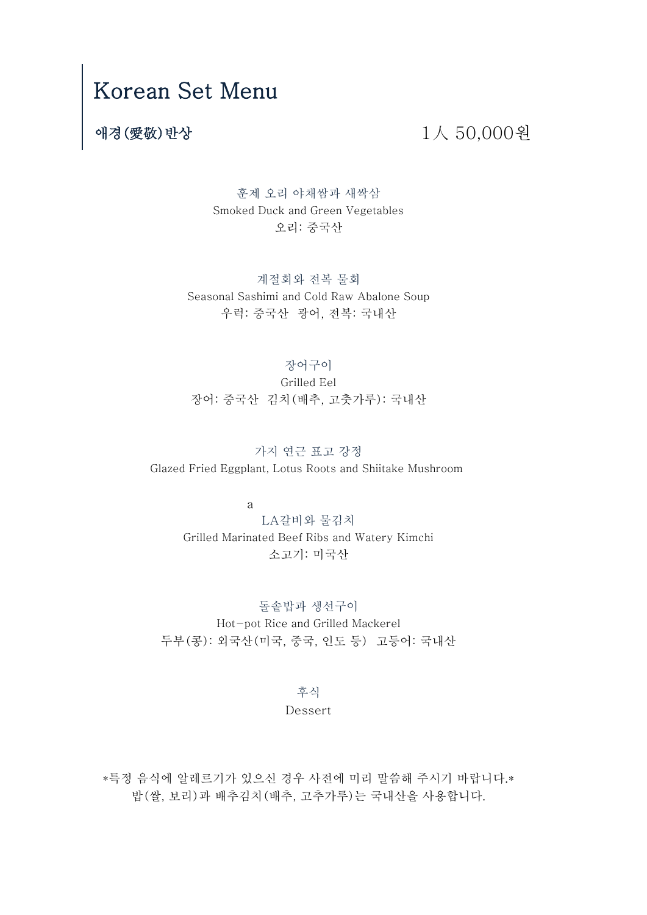## Korean Set Menu

### 애경(愛敬)반상 1人 50,000원

훈제 오리 야채쌈과 새싹삼 Smoked Duck and Green Vegetables 오리: 중국산

계절회와 전복 물회 우럭: 중국산 광어, 전복: 국내산 Seasonal Sashimi and Cold Raw Abalone Soup

#### 장어구이

장어: 중국산 김치(배추, 고춧가루): 국내산 Grilled Eel

가지 연근 표고 강정 Glazed Fried Eggplant, Lotus Roots and Shiitake Mushroom

a

LA갈비와 물김치 Grilled Marinated Beef Ribs and Watery Kimchi 소고기: 미국산

Hot-pot Rice and Grilled Mackerel 두부(콩): 외국산(미국, 중국, 인도 등) 고등어: 국내산 돌솥밥과 생선구이

> Dessert 후식

밥(쌀, 보리)과 배추김치(배추, 고추가루)는 국내산을 사용합니다. \*특정 음식에 알레르기가 있으신 경우 사전에 미리 말씀해 주시기 바랍니다.\*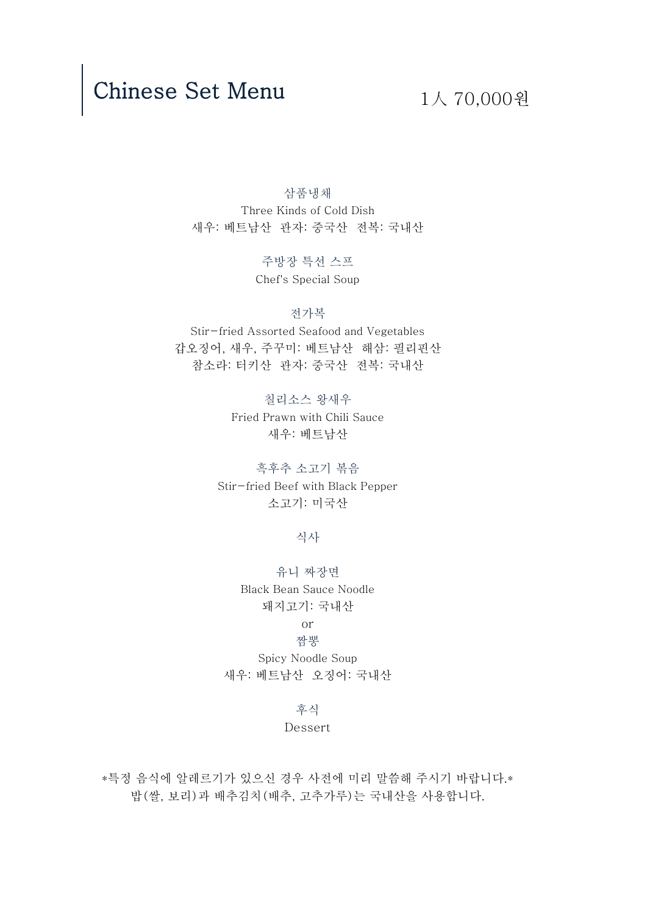## Chinese Set Menu  $1\wedge 70,000$  원

삼품냉채 Three Kinds of Cold Dish 새우: 베트남산 관자: 중국산 전복: 국내산

> 주방장 특선 스프 Chef's Special Soup

참소라: 터키산 관자: 중국산 전복: 국내산 전가복 Stir-fried Assorted Seafood and Vegetables 갑오징어, 새우, 주꾸미: 베트남산 해삼: 필리핀산

> 새우: 베트남산 Fried Prawn with Chili Sauce 칠리소스 왕새우

소고기: 미국산 Stir-fried Beef with Black Pepper 흑후추 소고기 볶음

식사

돼지고기: 국내산 Black Bean Sauce Noodle 유니 짜장면

#### or 짬뽕

Spicy Noodle Soup 새우: 베트남산 오징어: 국내산

#### 후식

#### Dessert

밥(쌀, 보리)과 배추김치(배추, 고추가루)는 국내산을 사용합니다. \*특정 음식에 알레르기가 있으신 경우 사전에 미리 말씀해 주시기 바랍니다.\*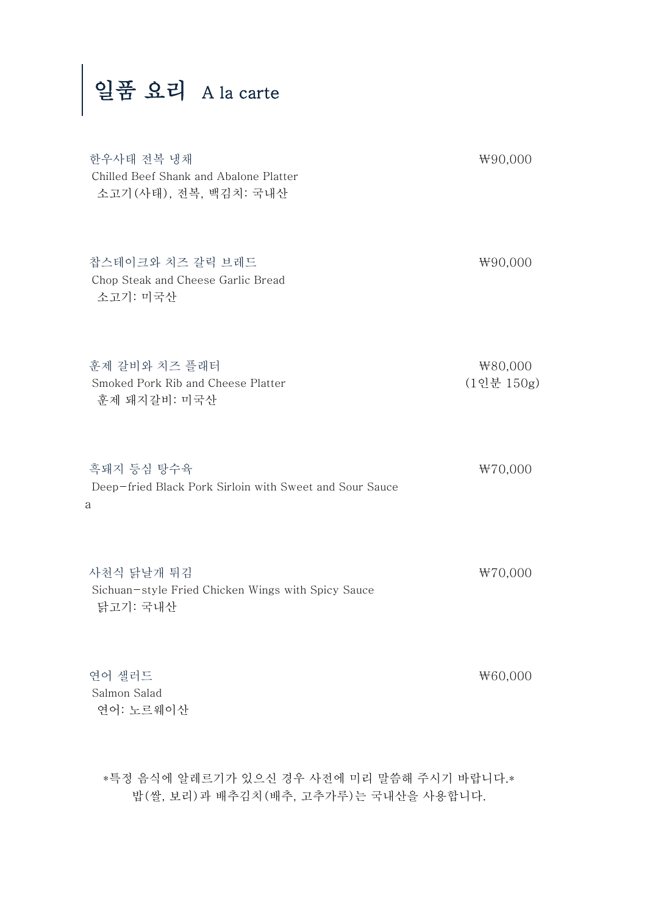# 일품 요리 A la carte

| 한우사태 전복 냉채<br>Chilled Beef Shank and Abalone Platter<br>소고기 (사태), 전복, 백김치: 국내산 | ₩90,000               |
|--------------------------------------------------------------------------------|-----------------------|
| 찹스테이크와 치즈 갈릭 브레드<br>Chop Steak and Cheese Garlic Bread<br>소고기: 미국산             | ₩90,000               |
| 훈제 갈비와 치즈 플래터<br>Smoked Pork Rib and Cheese Platter<br>훈제 돼지갈비: 미국산            | ₩80,000<br>(1인분 150g) |
| 흑돼지 등심 탕수육<br>Deep-fried Black Pork Sirloin with Sweet and Sour Sauce<br>а     | ₩70,000               |
| 사천식 닭날개 튀김<br>Sichuan-style Fried Chicken Wings with Spicy Sauce<br>닭고기: 국내산   | ₩70,000               |
| 연어 샐러드<br>Salmon Salad<br>연어: 노르웨이산                                            | ₩60,000               |

\*특정 음식에 알레르기가 있으신 경우 사전에 미리 말씀해 주시기 바랍니다.\* 밥(쌀, 보리)과 배추김치(배추, 고추가루)는 국내산을 사용합니다.